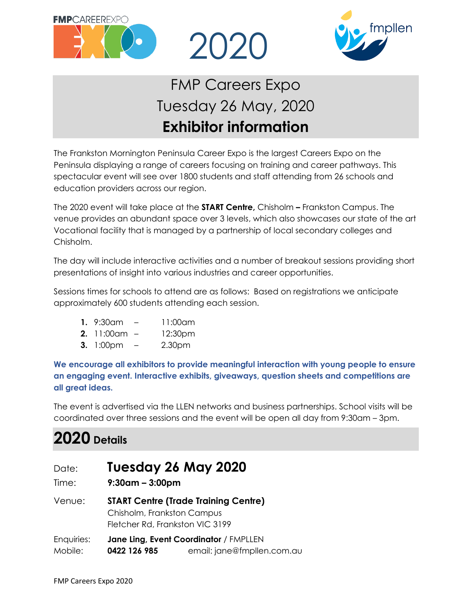



# FMP Careers Expo Tuesday 26 May, 2020 **Exhibitor information**

2020

The Frankston Mornington Peninsula Career Expo is the largest Careers Expo on the Peninsula displaying a range of careers focusing on training and career pathways. This spectacular event will see over 1800 students and staff attending from 26 schools and education providers across our region.

The 2020 event will take place at the **START Centre,** Chisholm **–** Frankston Campus. The venue provides an abundant space over 3 levels, which also showcases our state of the art Vocational facility that is managed by a partnership of local secondary colleges and Chisholm.

The day will include interactive activities and a number of breakout sessions providing short presentations of insight into various industries and career opportunities.

Sessions times for schools to attend are as follows: Based on registrations we anticipate approximately 600 students attending each session.

- **1.** 9:30am 11:00am
- **2.** 11:00am 12:30pm
- **3.** 1:00pm 2.30pm

**We encourage all exhibitors to provide meaningful interaction with young people to ensure an engaging event. Interactive exhibits, giveaways, question sheets and competitions are all great ideas.**

The event is advertised via the LLEN networks and business partnerships. School visits will be coordinated over three sessions and the event will be open all day from 9:30am – 3pm.

## **2020 Details**

| Date:                 | Tuesday 26 May 2020                                                                                          |  |
|-----------------------|--------------------------------------------------------------------------------------------------------------|--|
| Time:                 | $9:30$ am – 3:00pm                                                                                           |  |
| Venue:                | <b>START Centre (Trade Training Centre)</b><br>Chisholm, Frankston Campus<br>Fletcher Rd, Frankston VIC 3199 |  |
| Enquiries:<br>Mobile: | Jane Ling, Event Coordinator / FMPLLEN<br>email: jane@fmpllen.com.au<br>0422 126 985                         |  |